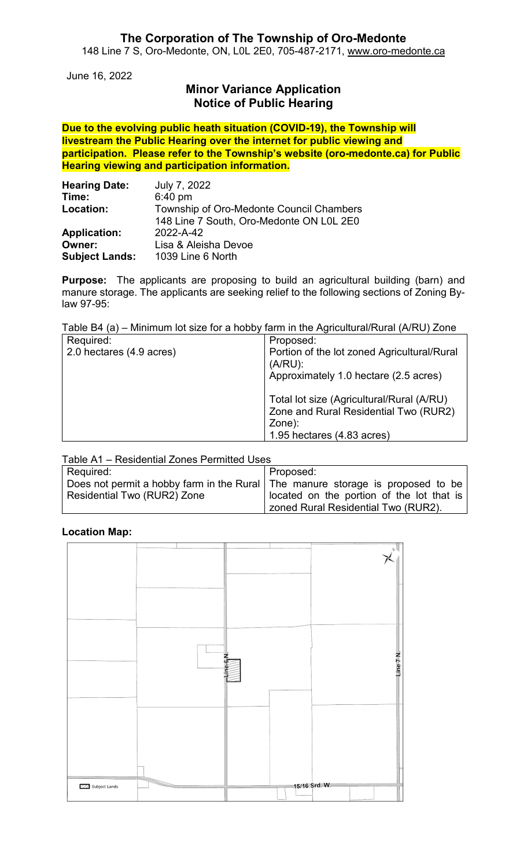#### **The Corporation of The Township of Oro-Medonte** 148 Line 7 S, Oro-Medonte, ON, L0L 2E0, 705-487-2171, [www.oro-medonte.ca](http://www.oro-medonte.ca/)

June 16, 2022

# **Minor Variance Application Notice of Public Hearing**

**Due to the evolving public heath situation (COVID-19), the Township will livestream the Public Hearing over the internet for public viewing and participation. Please refer to the Township's website (oro-medonte.ca) for Public Hearing viewing and participation information.**

| <b>Hearing Date:</b>  | July 7, 2022                             |  |
|-----------------------|------------------------------------------|--|
| Time:                 | $6:40$ pm                                |  |
| Location:             | Township of Oro-Medonte Council Chambers |  |
|                       | 148 Line 7 South, Oro-Medonte ON L0L 2E0 |  |
| <b>Application:</b>   | 2022-A-42                                |  |
| <b>Owner:</b>         | Lisa & Aleisha Devoe                     |  |
| <b>Subject Lands:</b> | 1039 Line 6 North                        |  |

**Purpose:** The applicants are proposing to build an agricultural building (barn) and manure storage. The applicants are seeking relief to the following sections of Zoning Bylaw 97-95:

Table B4 (a) – Minimum lot size for a hobby farm in the Agricultural/Rural (A/RU) Zone

| Required:                | Proposed:                                   |
|--------------------------|---------------------------------------------|
| 2.0 hectares (4.9 acres) | Portion of the lot zoned Agricultural/Rural |
|                          | $(A/RU)$ :                                  |
|                          | Approximately 1.0 hectare (2.5 acres)       |
|                          |                                             |
|                          | Total lot size (Agricultural/Rural (A/RU)   |
|                          | Zone and Rural Residential Two (RUR2)       |
|                          | Zone):                                      |
|                          | 1.95 hectares (4.83 acres)                  |

Table A1 – Residential Zones Permitted Uses

| Required:                   | Proposed:                                                                      |  |
|-----------------------------|--------------------------------------------------------------------------------|--|
|                             | Does not permit a hobby farm in the Rural The manure storage is proposed to be |  |
| Residential Two (RUR2) Zone | located on the portion of the lot that is                                      |  |
|                             | zoned Rural Residential Two (RUR2).                                            |  |

#### **Location Map:**

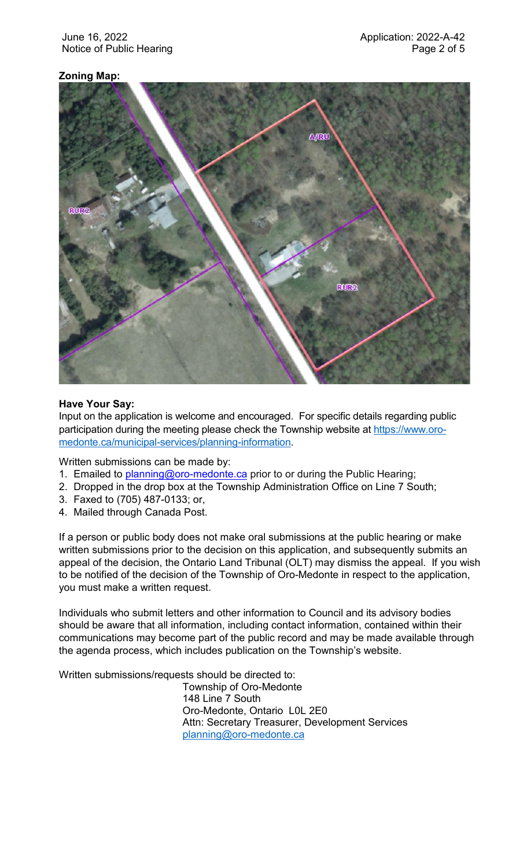## **Zoning Map:**



#### **Have Your Say:**

Input on the application is welcome and encouraged. For specific details regarding public participation during the meeting please check the Township website at [https://www.oro](https://www.oro-medonte.ca/municipal-services/planning-information)[medonte.ca/municipal-services/planning-information.](https://www.oro-medonte.ca/municipal-services/planning-information)

Written submissions can be made by:

- 1. Emailed to *planning@oro-medonte.ca* prior to or during the Public Hearing;
- 2. Dropped in the drop box at the Township Administration Office on Line 7 South;
- 3. Faxed to (705) 487-0133; or,
- 4. Mailed through Canada Post.

If a person or public body does not make oral submissions at the public hearing or make written submissions prior to the decision on this application, and subsequently submits an appeal of the decision, the Ontario Land Tribunal (OLT) may dismiss the appeal. If you wish to be notified of the decision of the Township of Oro-Medonte in respect to the application, you must make a written request.

Individuals who submit letters and other information to Council and its advisory bodies should be aware that all information, including contact information, contained within their communications may become part of the public record and may be made available through the agenda process, which includes publication on the Township's website.

Written submissions/requests should be directed to:

Township of Oro-Medonte 148 Line 7 South Oro-Medonte, Ontario L0L 2E0 Attn: Secretary Treasurer, Development Services [planning@oro-medonte.ca](mailto:planning@oro-medonte.ca)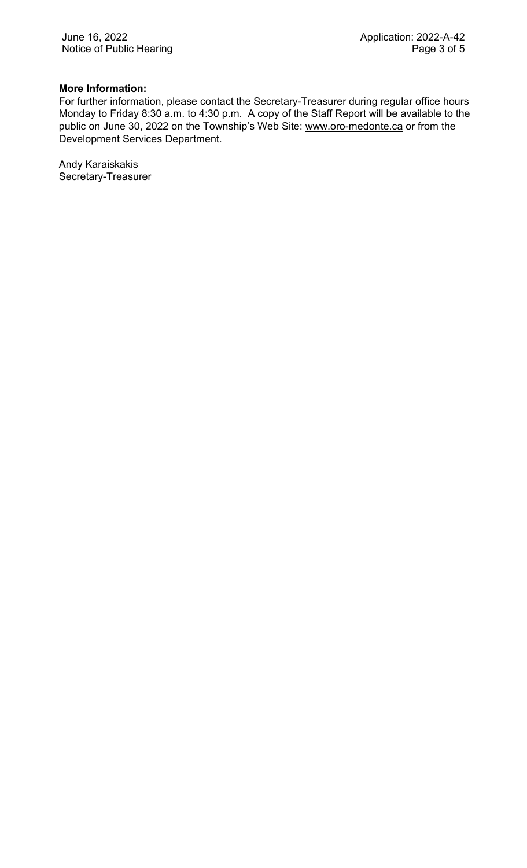## **More Information:**

For further information, please contact the Secretary-Treasurer during regular office hours Monday to Friday 8:30 a.m. to 4:30 p.m. A copy of the Staff Report will be available to the public on June 30, 2022 on the Township's Web Site: [www.oro-medonte.ca](http://www.oro-medonte.ca/) or from the Development Services Department.

Andy Karaiskakis Secretary-Treasurer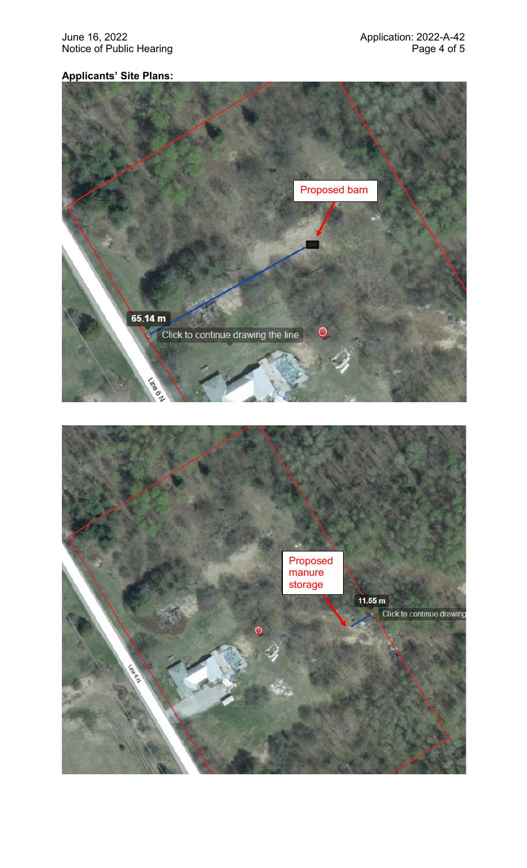June 16, 2022<br>Notice of Public Hearing Notice of Public Hearing and Application: 2022-A-42 Notice of Public Hearing

# **Applicants' Site Plans:**